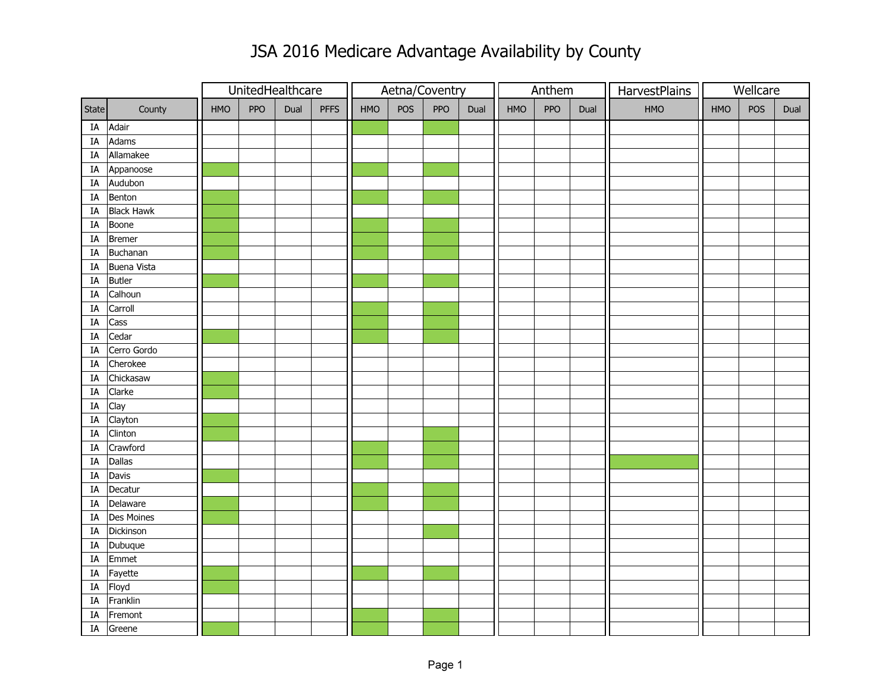## JSA 2016 Medicare Advantage Availability by County

|                        |                    |     |            | UnitedHealthcare |             | Aetna/Coventry |     |     |      |     | Anthem     |      | HarvestPlains | Wellcare |     |      |
|------------------------|--------------------|-----|------------|------------------|-------------|----------------|-----|-----|------|-----|------------|------|---------------|----------|-----|------|
| State                  | County             | HMO | <b>PPO</b> | Dual             | <b>PFFS</b> | HMO            | POS | PPO | Dual | HMO | <b>PPO</b> | Dual | HMO           | HMO      | POS | Dual |
| IA                     | Adair              |     |            |                  |             |                |     |     |      |     |            |      |               |          |     |      |
| $\rm I\text{A}$        | Adams              |     |            |                  |             |                |     |     |      |     |            |      |               |          |     |      |
| IA                     | Allamakee          |     |            |                  |             |                |     |     |      |     |            |      |               |          |     |      |
| IA                     | Appanoose          |     |            |                  |             |                |     |     |      |     |            |      |               |          |     |      |
| IA                     | Audubon            |     |            |                  |             |                |     |     |      |     |            |      |               |          |     |      |
| $\rm I\hspace{-.1em}A$ | Benton             |     |            |                  |             |                |     |     |      |     |            |      |               |          |     |      |
| IA                     | <b>Black Hawk</b>  |     |            |                  |             |                |     |     |      |     |            |      |               |          |     |      |
| IA                     | Boone              |     |            |                  |             |                |     |     |      |     |            |      |               |          |     |      |
| IA                     | <b>Bremer</b>      |     |            |                  |             |                |     |     |      |     |            |      |               |          |     |      |
| $\rm I\text{A}$        | Buchanan           |     |            |                  |             |                |     |     |      |     |            |      |               |          |     |      |
| IA                     | <b>Buena Vista</b> |     |            |                  |             |                |     |     |      |     |            |      |               |          |     |      |
| IA                     | <b>Butler</b>      |     |            |                  |             |                |     |     |      |     |            |      |               |          |     |      |
| IA                     | Calhoun            |     |            |                  |             |                |     |     |      |     |            |      |               |          |     |      |
| IA                     | Carroll            |     |            |                  |             |                |     |     |      |     |            |      |               |          |     |      |
| IA                     | Cass               |     |            |                  |             |                |     |     |      |     |            |      |               |          |     |      |
| IA                     | Cedar              |     |            |                  |             |                |     |     |      |     |            |      |               |          |     |      |
| IA                     | Cerro Gordo        |     |            |                  |             |                |     |     |      |     |            |      |               |          |     |      |
| IA                     | Cherokee           |     |            |                  |             |                |     |     |      |     |            |      |               |          |     |      |
| $\rm I\text{A}$        | Chickasaw          |     |            |                  |             |                |     |     |      |     |            |      |               |          |     |      |
| $\rm I\text{A}$        | Clarke             |     |            |                  |             |                |     |     |      |     |            |      |               |          |     |      |
| IA                     | Clay               |     |            |                  |             |                |     |     |      |     |            |      |               |          |     |      |
| IA                     | Clayton            |     |            |                  |             |                |     |     |      |     |            |      |               |          |     |      |
| IA                     | Clinton            |     |            |                  |             |                |     |     |      |     |            |      |               |          |     |      |
| IA                     | Crawford           |     |            |                  |             |                |     |     |      |     |            |      |               |          |     |      |
| IA                     | Dallas             |     |            |                  |             |                |     |     |      |     |            |      |               |          |     |      |
| IA                     | Davis              |     |            |                  |             |                |     |     |      |     |            |      |               |          |     |      |
| IA                     | Decatur            |     |            |                  |             |                |     |     |      |     |            |      |               |          |     |      |
| IA                     | Delaware           |     |            |                  |             |                |     |     |      |     |            |      |               |          |     |      |
| IA                     | Des Moines         |     |            |                  |             |                |     |     |      |     |            |      |               |          |     |      |
| IA                     | Dickinson          |     |            |                  |             |                |     |     |      |     |            |      |               |          |     |      |
| IA                     | Dubuque            |     |            |                  |             |                |     |     |      |     |            |      |               |          |     |      |
| IA                     | Emmet              |     |            |                  |             |                |     |     |      |     |            |      |               |          |     |      |
| IA                     | Fayette            |     |            |                  |             |                |     |     |      |     |            |      |               |          |     |      |
| $\rm I\hspace{-.1em}A$ | Floyd              |     |            |                  |             |                |     |     |      |     |            |      |               |          |     |      |
| IA                     | Franklin           |     |            |                  |             |                |     |     |      |     |            |      |               |          |     |      |
| IA                     | Fremont            |     |            |                  |             |                |     |     |      |     |            |      |               |          |     |      |
| IA                     | Greene             |     |            |                  |             |                |     |     |      |     |            |      |               |          |     |      |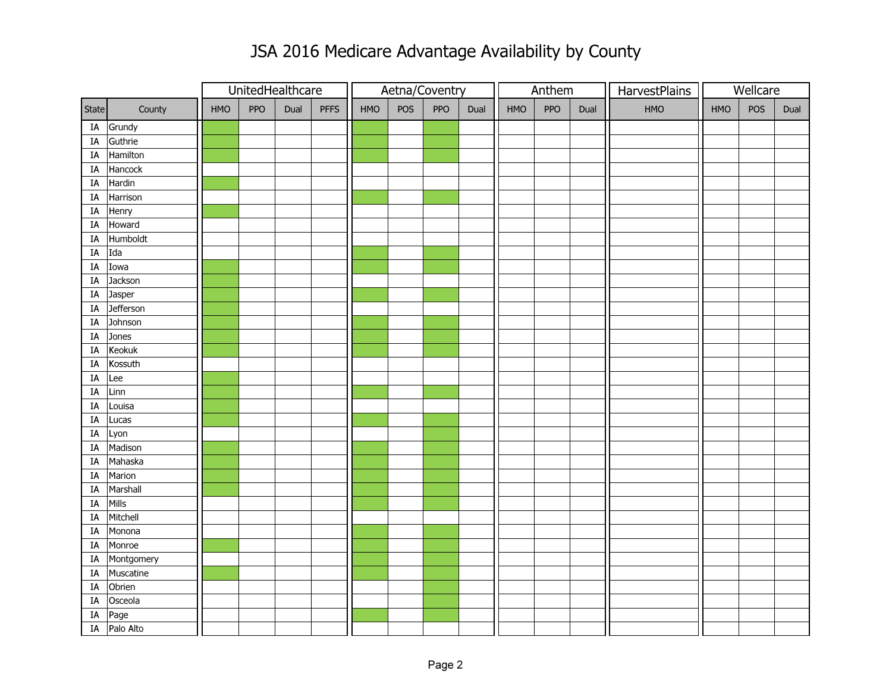## JSA 2016 Medicare Advantage Availability by County

|                        |            |     | UnitedHealthcare |      |             |     |     | Aetna/Coventry |      | Anthem |            |      | HarvestPlains | Wellcare |     |      |
|------------------------|------------|-----|------------------|------|-------------|-----|-----|----------------|------|--------|------------|------|---------------|----------|-----|------|
| State                  | County     | HMO | <b>PPO</b>       | Dual | <b>PFFS</b> | HMO | POS | PPO            | Dual | HMO    | <b>PPO</b> | Dual | HMO           | HMO      | POS | Dual |
| IA                     | Grundy     |     |                  |      |             |     |     |                |      |        |            |      |               |          |     |      |
| IA                     | Guthrie    |     |                  |      |             |     |     |                |      |        |            |      |               |          |     |      |
| IA                     | Hamilton   |     |                  |      |             |     |     |                |      |        |            |      |               |          |     |      |
| IA                     | Hancock    |     |                  |      |             |     |     |                |      |        |            |      |               |          |     |      |
| IA                     | Hardin     |     |                  |      |             |     |     |                |      |        |            |      |               |          |     |      |
| IA                     | Harrison   |     |                  |      |             |     |     |                |      |        |            |      |               |          |     |      |
| IA                     | Henry      |     |                  |      |             |     |     |                |      |        |            |      |               |          |     |      |
| IA                     | Howard     |     |                  |      |             |     |     |                |      |        |            |      |               |          |     |      |
| IA                     | Humboldt   |     |                  |      |             |     |     |                |      |        |            |      |               |          |     |      |
| $\rm I\hspace{-.1em}A$ | Ida        |     |                  |      |             |     |     |                |      |        |            |      |               |          |     |      |
| $\rm I\hspace{-.1em}A$ | Iowa       |     |                  |      |             |     |     |                |      |        |            |      |               |          |     |      |
| IA                     | Jackson    |     |                  |      |             |     |     |                |      |        |            |      |               |          |     |      |
| IA                     | Jasper     |     |                  |      |             |     |     |                |      |        |            |      |               |          |     |      |
| IA                     | Jefferson  |     |                  |      |             |     |     |                |      |        |            |      |               |          |     |      |
| IA                     | Johnson    |     |                  |      |             |     |     |                |      |        |            |      |               |          |     |      |
| IA                     | Jones      |     |                  |      |             |     |     |                |      |        |            |      |               |          |     |      |
| IA                     | Keokuk     |     |                  |      |             |     |     |                |      |        |            |      |               |          |     |      |
| IA                     | Kossuth    |     |                  |      |             |     |     |                |      |        |            |      |               |          |     |      |
| IA                     | Lee        |     |                  |      |             |     |     |                |      |        |            |      |               |          |     |      |
| IA                     | Linn       |     |                  |      |             |     |     |                |      |        |            |      |               |          |     |      |
| IA                     | Louisa     |     |                  |      |             |     |     |                |      |        |            |      |               |          |     |      |
| IA                     | Lucas      |     |                  |      |             |     |     |                |      |        |            |      |               |          |     |      |
| IA                     | Lyon       |     |                  |      |             |     |     |                |      |        |            |      |               |          |     |      |
| IA                     | Madison    |     |                  |      |             |     |     |                |      |        |            |      |               |          |     |      |
| IA                     | Mahaska    |     |                  |      |             |     |     |                |      |        |            |      |               |          |     |      |
| IA                     | Marion     |     |                  |      |             |     |     |                |      |        |            |      |               |          |     |      |
| IA                     | Marshall   |     |                  |      |             |     |     |                |      |        |            |      |               |          |     |      |
| IA                     | Mills      |     |                  |      |             |     |     |                |      |        |            |      |               |          |     |      |
| IA                     | Mitchell   |     |                  |      |             |     |     |                |      |        |            |      |               |          |     |      |
| IA                     | Monona     |     |                  |      |             |     |     |                |      |        |            |      |               |          |     |      |
| IA                     | Monroe     |     |                  |      |             |     |     |                |      |        |            |      |               |          |     |      |
| IA                     | Montgomery |     |                  |      |             |     |     |                |      |        |            |      |               |          |     |      |
| IA                     | Muscatine  |     |                  |      |             |     |     |                |      |        |            |      |               |          |     |      |
| IA                     | Obrien     |     |                  |      |             |     |     |                |      |        |            |      |               |          |     |      |
| IA                     | Osceola    |     |                  |      |             |     |     |                |      |        |            |      |               |          |     |      |
| IA                     | Page       |     |                  |      |             |     |     |                |      |        |            |      |               |          |     |      |
| IA                     | Palo Alto  |     |                  |      |             |     |     |                |      |        |            |      |               |          |     |      |